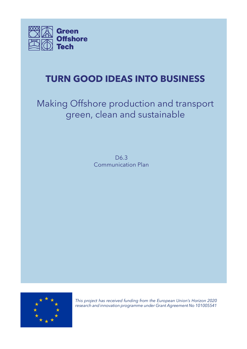

# **TURN GOOD IDEAS INTO BUSINESS**

# Making Offshore production and transport green, clean and sustainable

D6.3 Communication Plan



*This project has received funding from the European Union's Horizon 2020 research and innovation programme under Grant Agreement No 101005541*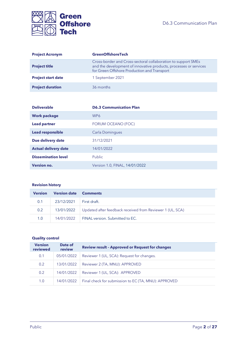

| <b>Project Acronym</b>    | <b>GreenOffshoreTech</b>                                                                                                                                                          |  |  |  |
|---------------------------|-----------------------------------------------------------------------------------------------------------------------------------------------------------------------------------|--|--|--|
| <b>Project title</b>      | Cross-border and Cross-sectoral collaboration to support SMEs<br>and the development of innovative products, processes or services<br>for Green Offshore Production and Transport |  |  |  |
| <b>Project start date</b> | 1 September 2021                                                                                                                                                                  |  |  |  |
| <b>Project duration</b>   | 36 months                                                                                                                                                                         |  |  |  |

| <b>Deliverable</b>          | <b>D6.3 Communication Plan</b> |  |  |  |
|-----------------------------|--------------------------------|--|--|--|
| <b>Work package</b>         | WP <sub>6</sub>                |  |  |  |
| <b>Lead partner</b>         | FORUM OCEANO (FOC)             |  |  |  |
| <b>Lead responsible</b>     | Carla Domingues                |  |  |  |
| Due delivery date           | 31/12/2021                     |  |  |  |
| <b>Actual delivery date</b> | 14/01/2022                     |  |  |  |
| <b>Dissemination level</b>  | Public                         |  |  |  |
| <b>Version no.</b>          | Version 1.0, FINAL, 14/01/2022 |  |  |  |

#### **Revision history**

| <b>Version</b> | <b>Version date Comments</b> |                                                           |  |  |  |  |
|----------------|------------------------------|-----------------------------------------------------------|--|--|--|--|
| 0.1            | $23/12/2021$ First draft.    |                                                           |  |  |  |  |
| 0.2            | 13/01/2022                   | Updated after feedback received from Reviewer 1 (UL, SCA) |  |  |  |  |
| 1.0            | 14/01/2022                   | FINAL version. Submitted to EC.                           |  |  |  |  |

#### **Quality control**

| <b>Version</b><br>reviewed | Date of<br>review | <b>Review result - Approved or Request for changes</b> |  |  |
|----------------------------|-------------------|--------------------------------------------------------|--|--|
| 0.1                        | 05/01/2022        | Reviewer 1 (UL, SCA): Request for changes.             |  |  |
| 0.2                        | 13/01/2022        | Reviewer 2 (TA, MNU): APPROVED                         |  |  |
| 0.2                        | 14/01/2022        | Reviewer 1 (UL, SCA): APPROVED                         |  |  |
| 1.0                        | 14/01/2022        | Final check for submission to EC (TA, MNU): APPROVED   |  |  |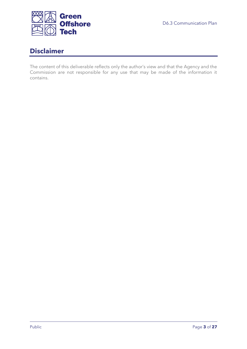

## <span id="page-2-0"></span>**Disclaimer**

The content of this deliverable reflects only the author's view and that the Agency and the Commission are not responsible for any use that may be made of the information it contains.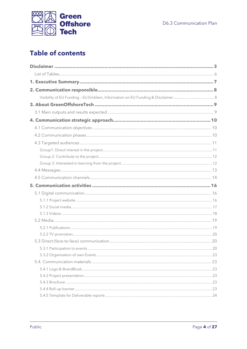

# **Table of contents**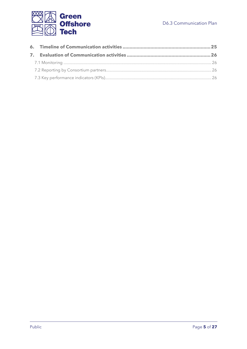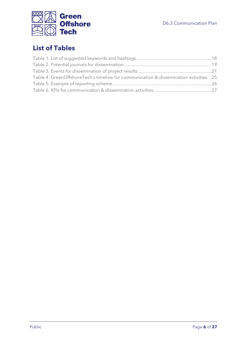

# <span id="page-5-0"></span>**List of Tables**

| Table 4. GreenOffshoreTech's timeline for communication & dissemination activities. 25 |  |
|----------------------------------------------------------------------------------------|--|
|                                                                                        |  |
|                                                                                        |  |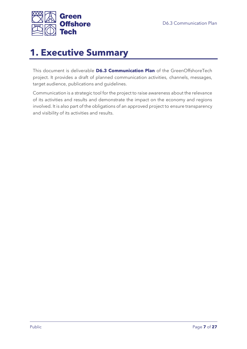

# <span id="page-6-0"></span>**1. Executive Summary**

This document is deliverable **D6.3 Communication Plan** of the GreenOffshoreTech project. It provides a draft of planned communication activities, channels, messages, target audience, publications and guidelines.

Communication is a strategic tool for the project to raise awareness about the relevance of its activities and results and demonstrate the impact on the economy and regions involved. It is also part of the obligations of an approved project to ensure transparency and visibility of its activities and results.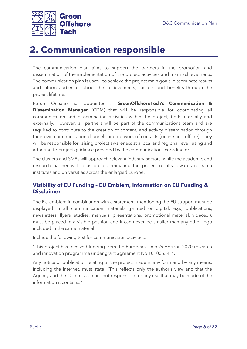

# <span id="page-7-0"></span>**2. Communication responsible**

The communication plan aims to support the partners in the promotion and dissemination of the implementation of the project activities and main achievements. The communication plan is useful to achieve the project main goals, disseminate results and inform audiences about the achievements, success and benefits through the project lifetime.

Fórum Oceano has appointed a **GreenOffshoreTech's Communication & Dissemination Manager** (CDM) that will be responsible for coordinating all communication and dissemination activities within the project, both internally and externally. However, all partners will be part of the communications team and are required to contribute to the creation of content, and activity dissemination through their own communication channels and network of contacts (online and offline). They will be responsible for raising project awareness at a local and regional level, using and adhering to project guidance provided by the communications coordinator.

The clusters and SMEs will approach relevant industry-sectors, while the academic and research partner will focus on disseminating the project results towards research institutes and universities across the enlarged Europe.

### <span id="page-7-1"></span>**Visibility of EU Funding – EU Emblem, Information on EU Funding & Disclaimer**

The EU emblem in combination with a statement, mentioning the EU support must be displayed in all communication materials (printed or digital, e.g., publications, newsletters, flyers, studies, manuals, presentations, promotional material, videos...), must be placed in a visible position and it can never be smaller than any other logo included in the same material.

Include the following text for communication activities:

"This project has received funding from the European Union's Horizon 2020 research and innovation programme under grant agreement No 101005541".

Any notice or publication relating to the project made in any form and by any means, including the Internet, must state: "This reflects only the author's view and that the Agency and the Commission are not responsible for any use that may be made of the information it contains."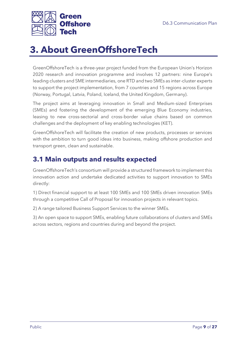

# <span id="page-8-0"></span>**3. About GreenOffshoreTech**

GreenOffshoreTech is a three-year project funded from the European Union's Horizon 2020 research and innovation programme and involves 12 partners: nine Europe's leading clusters and SME intermediaries, one RTD and two SMEs as inter-cluster experts to support the project implementation, from 7 countries and 15 regions across Europe (Norway, Portugal, Latvia, Poland, Iceland, the United Kingdom, Germany).

The project aims at leveraging innovation in Small and Medium-sized Enterprises (SMEs) and fostering the development of the emerging Blue Economy industries, leasing to new cross-sectorial and cross-border value chains based on common challenges and the deployment of key enabling technologies (KET).

GreenOffshoreTech will facilitate the creation of new products, processes or services with the ambition to turn good ideas into business, making offshore production and transport green, clean and sustainable.

## <span id="page-8-1"></span>**3.1 Main outputs and results expected**

GreenOffshoreTech's consortium will provide a structured framework to implement this innovation action and undertake dedicated activities to support innovation to SMEs directly:

1) Direct financial support to at least 100 SMEs and 100 SMEs driven innovation SMEs through a competitive Call of Proposal for innovation projects in relevant topics.

2) A range tailored Business Support Services to the winner SMEs.

3) An open space to support SMEs, enabling future collaborations of clusters and SMEs across sectors, regions and countries during and beyond the project.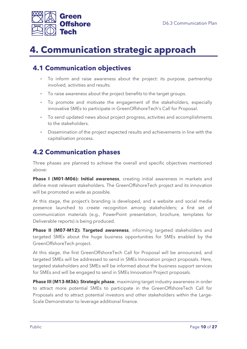

# <span id="page-9-0"></span>**4. Communication strategic approach**

## <span id="page-9-1"></span>**4.1 Communication objectives**

- To inform and raise awareness about the project: its purpose, partnership involved, activities and results.
- To raise awareness about the project benefits to the target groups.
- To promote and motivate the engagement of the stakeholders, especially innovative SMEs to participate in GreenOffshoreTech's Call for Proposal.
- To send updated news about project progress, activities and accomplishments to the stakeholders.
- Dissemination of the project expected results and achievements in line with the capitalisation process.

## <span id="page-9-2"></span>**4.2 Communication phases**

Three phases are planned to achieve the overall and specific objectives mentioned above:

**Phase I (M01-M06): Initial awareness**, creating initial awareness in markets and define most relevant stakeholders. The GreenOffshoreTech project and its innovation will be promoted as wide as possible.

At this stage, the project's branding is developed, and a website and social media presence launched to create recognition among stakeholders; a first set of communication materials (e.g., PowerPoint presentation, brochure, templates for Deliverable reports) is being produced.

**Phase II (M07-M12): Targeted awareness**, informing targeted stakeholders and targeted SMEs about the huge business opportunities for SMEs enabled by the GreenOffshoreTech project.

At this stage, the first GreenOffshoreTech Call for Proposal will be announced, and targeted SMEs will be addressed to send in SMEs Innovation project proposals. Here, targeted stakeholders and SMEs will be informed about the business support services for SMEs and will be engaged to send in SMEs Innovation Project proposals.

**Phase III (M13-M36): Strategic phase**, maximizing target industry awareness in order to attract more potential SMEs to participate in the GreenOffshoreTech Call for Proposals and to attract potential investors and other stakeholders within the Large-Scale Demonstrator to leverage additional finance.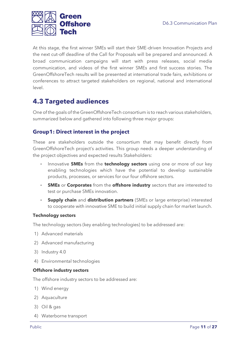

At this stage, the first winner SMEs will start their SME-driven Innovation Projects and the next cut-off deadline of the Call for Proposals will be prepared and announced. A broad communication campaigns will start with press releases, social media communication, and videos of the first winner SMEs and first success stories. The GreenOffshoreTech results will be presented at international trade fairs, exhibitions or conferences to attract targeted stakeholders on regional, national and international level.

## <span id="page-10-0"></span>**4.3 Targeted audiences**

One of the goals of the GreenOffshoreTech consortium is to reach various stakeholders, summarized below and gathered into following three major groups:

### <span id="page-10-1"></span>**Group1: Direct interest in the project**

These are stakeholders outside the consortium that may benefit directly from GreenOffshoreTech project's activities. This group needs a deeper understanding of the project objectives and expected results Stakeholders:

- Innovative **SMEs** from the **technology sectors** using one or more of our key enabling technologies which have the potential to develop sustainable products, processes, or services for our four offshore sectors.
- **SMEs** or **Corporates** from the **offshore industry** sectors that are interested to test or purchase SMEs innovation.
- **Supply chain** and **distribution partners** (SMEs or large enterprise) interested to cooperate with innovative SME to build initial supply chain for market launch.

#### **Technology sectors**

The technology sectors (key enabling technologies) to be addressed are:

- 1) Advanced materials
- 2) Advanced manufacturing
- 3) Industry 4.0
- 4) Environmental technologies

#### **Offshore industry sectors**

The offshore industry sectors to be addressed are:

- 1) Wind energy
- 2) Aquaculture
- 3) Oil & gas
- 4) Waterborne transport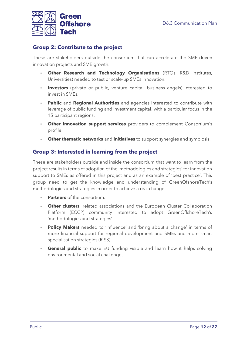

### <span id="page-11-0"></span>**Group 2: Contribute to the project**

These are stakeholders outside the consortium that can accelerate the SME-driven innovation projects and SME growth.

- **Other Research and Technology Organisations** (RTOs, R&D institutes, Universities) needed to test or scale-up SMEs innovation.
- **Investors** (private or public, venture capital, business angels) interested to invest in SMEs.
- **Public** and **Regional Authorities** and agencies interested to contribute with leverage of public funding and investment capital, with a particular focus in the 15 participant regions.
- **Other Innovation support services** providers to complement Consortium's profile.
- **Other thematic networks** and **initiatives** to support synergies and symbiosis.

### <span id="page-11-1"></span>**Group 3: Interested in learning from the project**

These are stakeholders outside and inside the consortium that want to learn from the project results in terms of adoption of the 'methodologies and strategies' for innovation support to SMEs as offered in this project and as an example of 'best practice'. This group need to get the knowledge and understanding of GreenOfshoreTech's methodologies and strategies in order to achieve a real change.

- **Partners** of the consortium.
- **Other clusters**, related associations and the European Cluster Collaboration Platform (ECCP) community interested to adopt GreenOffshoreTech's 'methodologies and strategies'.
- Policy Makers needed to 'influence' and 'bring about a change' in terms of more financial support for regional development and SMEs and more smart specialisation strategies (RIS3).
- **General public** to make EU funding visible and learn how it helps solving environmental and social challenges.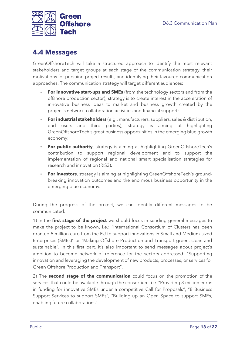

### <span id="page-12-0"></span>**4.4 Messages**

GreenOffshoreTech will take a structured approach to identify the most relevant stakeholders and target groups at each stage of the communication strategy, their motivations for pursuing project results, and identifying their favoured communication approaches. The communication strategy will target different audiences:

- **For innovative start-ups and SMEs** (from the technology sectors and from the offshore production sector), strategy is to create interest in the acceleration of innovative business ideas to market and business growth created by the project's network, collaboration activities and financial support;
- **For industrial stakeholders** (e.g., manufacturers, suppliers, sales & distribution, end users and third parties), strategy is aiming at highlighting GreenOffshoreTech's great business opportunities in the emerging blue growth economy;
- **For public authority**, strategy is aiming at highlighting GreenOffshoreTech's contribution to support regional development and to support the implementation of regional and national smart specialisation strategies for research and innovation (RIS3).
- **For investors**, strategy is aiming at highlighting GreenOffshoreTech's groundbreaking innovation outcomes and the enormous business opportunity in the emerging blue economy.

During the progress of the project, we can identify different messages to be communicated.

1) In the **first stage of the project** we should focus in sending general messages to make the project to be known, i.e.: "International Consortium of Clusters has been granted 5 million euro from the EU to support innovations in Small and Medium-sized Enterprises (SMEs)" or "Making Offshore Production and Transport green, clean and sustainable". In this first part, it's also important to send messages about project's ambition to become network of reference for the sectors addressed: "Supporting innovation and leveraging the development of new products, processes, or services for Green Offshore Production and Transport".

2) The **second stage of the communication** could focus on the promotion of the services that could be available through the consortium, i.e. "Providing 3 million euros in funding for innovative SMEs under a competitive Call for Proposals", "8 Business Support Services to support SMEs", "Building up an Open Space to support SMEs, enabling future collaborations".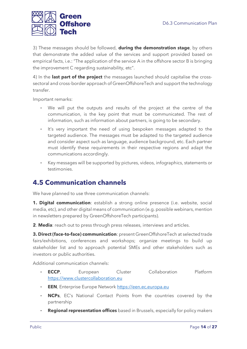

3) These messages should be followed, **during the demonstration stage**, by others that demonstrate the added value of the services and support provided based on empirical facts, i.e.: "The application of the service A in the offshore sector B is bringing the improvement C regarding sustainability, etc".

4) In the **last part of the project** the messages launched should capitalise the crosssectoral and cross-border approach of GreenOffshoreTech and support the technology transfer.

Important remarks:

- We will put the outputs and results of the project at the centre of the communication, is the key point that must be communicated. The rest of information, such as information about partners, is going to be secondary.
- It's very important the need of using bespoken messages adapted to the targeted audience. The messages must be adapted to the targeted audience and consider aspect such as language, audience background, etc. Each partner must identify these requirements in their respective regions and adapt the communications accordingly.
- Key messages will be supported by pictures, videos, infographics, statements or testimonies.

### <span id="page-13-0"></span>**4.5 Communication channels**

We have planned to use three communication channels:

**1. Digital communication**: establish a strong online presence (i.e. website, social media, etc), and other digital means of communication (e.g. possible webinars, mention in newsletters prepared by GreenOffshoreTech participants).

**2**. **Media**: reach out to press through press releases, interviews and articles.

**3. Direct (face-to-face) communication**: present GreenOffshoreTech at selected trade fairs/exhibitions, conferences and workshops; organize meetings to build up stakeholder list and to approach potential SMEs and other stakeholders such as investors or public authorities.

Additional communication channels:

- **ECCP**, European Cluster Collaboration Platform [https://www.clustercollaboration.eu](https://www.clustercollaboration.eu/)
- **EEN**, Enterprise Europe Network [https://een.ec.europa.eu](https://een.ec.europa.eu/)
- **NCPs**, EC's National Contact Points from the countries covered by the partnership
- **Regional representation offices** based in Brussels, especially for policy makers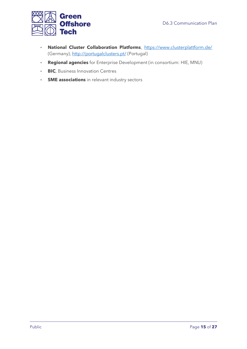

- **National Cluster Collaboration Platforms**,<https://www.clusterplattform.de/> (Germany)[, http://portugalclusters.pt/](http://portugalclusters.pt/) (Portugal)
- **Regional agencies** for Enterprise Development (in consortium: HIE, MNU)
- **BIC**, Business Innovation Centres
- **· SME associations** in relevant industry sectors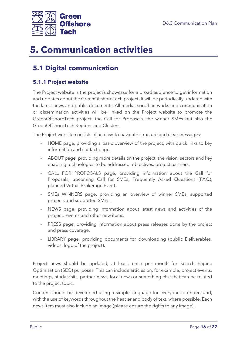

# <span id="page-15-0"></span>**5. Communication activities**

## <span id="page-15-1"></span>**5.1 Digital communication**

### <span id="page-15-2"></span>**5.1.1 Project website**

The Project website is the project's showcase for a broad audience to get information and updates about the GreenOffshoreTech project. It will be periodically updated with the latest news and public documents. All media, social networks and communication or dissemination activities will be linked on the Project website to promote the GreenOffshoreTech project, the Call for Proposals, the winner SMEs but also the GreenOffshoreTech Regions and Clusters.

The Project website consists of an easy-to-navigate structure and clear messages:

- HOME page, providing a basic overview of the project, with quick links to key information and contact page.
- ABOUT page, providing more details on the project, the vision, sectors and key enabling technologies to be addressed, objectives, project partners.
- CALL FOR PROPOSALS page, providing information about the Call for Proposals, upcoming Call for SMEs, Frequently Asked Questions (FAQ), planned Virtual Brokerage Event.
- SMEs WINNERS page, providing an overview of winner SMEs, supported projects and supported SMEs.
- NEWS page, providing information about latest news and activities of the project, events and other new items.
- **PRESS page, providing information about press releases done by the project** and press coverage.
- LIBRARY page, providing documents for downloading (public Deliverables, videos, logo of the project).

Project news should be updated, at least, once per month for Search Engine Optimisation (SEO) purposes. This can include articles on, for example, project events, meetings, study visits, partner news, local news or something else that can be related to the project topic.

Content should be developed using a simple language for everyone to understand, with the use of keywords throughout the header and body of text, where possible. Each news item must also include an image (please ensure the rights to any image).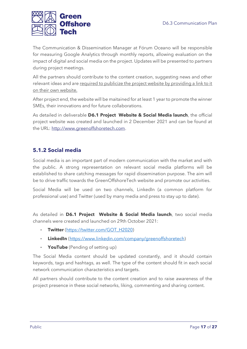

The Communication & Dissemination Manager at Fórum Oceano will be responsible for measuring Google Analytics through monthly reports, allowing evaluation on the impact of digital and social media on the project. Updates will be presented to partners during project meetings.

All the partners should contribute to the content creation, suggesting news and other relevant ideas and are required to publicize the project website by providing a link to it on their own website.

After project end, the website will be maitained for at least 1 year to promote the winner SMEs, their innovations and for future collaborations.

As detailed in deliverable **D6.1 Project Website & Social Media launch**, the official project website was created and launched in 2 December 2021 and can be found at the URL: [http://www.greenoffshoretech.com.](http://www.greenoffshoretech.com/)

### <span id="page-16-0"></span>**5.1.2 Social media**

Social media is an important part of modern communication with the market and with the public. A strong representation on relevant social media platforms will be established to share catching messages for rapid dissemination purpose. The aim will be to drive traffic towards the GreenOffshoreTech website and promote our activities.

Social Media will be used on two channels, LinkedIn (a common platform for professional use) and Twitter (used by many media and press to stay up to date).

As detailed in **D6.1 Project Website & Social Media launch**, two social media channels were created and launched on 29th October 2021:

- **Twitter** [\(https://twitter.com/GOT\\_H2020\)](https://twitter.com/GOT_H2020)
- **LinkedIn** [\(https://www.linkedin.com/company/greenoffshoretech\)](https://www.linkedin.com/company/greenoffshoretech)
- **YouTube** (Pending of setting up)

The Social Media content should be updated constantly, and it should contain keywords, tags and hashtags, as well. The type of the content should fit in each social network communication characteristics and targets.

All partners should contribute to the content creation and to raise awareness of the project presence in these social networks, liking, commenting and sharing content.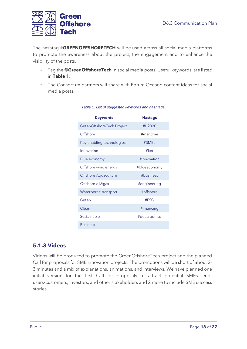

The hashtag **#GREENOFFSHORETECH** will be used across all social media platforms to promote the awareness about the project, the engagement and to enhance the visibility of the posts.

- Tag the **@GreenOffshoreTech** in social media posts. Useful keywords are listed in **Table 1.**
- <span id="page-17-1"></span>**The Consortum partners will share with Fórum Oceano content ideas for social** media posts.

| Keywords                  | <b>Hastags</b> |
|---------------------------|----------------|
| GreenOffshoreTech Project | #H2020         |
| Offshore                  | #maritime      |
| Key enabling technologies | #SMEs          |
| Innovation                | #ket           |
| Blue economy              | #innovation    |
| Offshore wind energy      | #blueeconomy   |
| Offshore Aquaculture      | #business      |
| Offshore oil&gas          | #engineering   |
| Waterborne transport      | #offshore      |
| Green                     | #FSG           |
| Clean                     | #financing     |
| Sustainable               | #decarbonise   |
| <b>Business</b>           |                |

#### *Table 1. List of suggested keywords and hashtags.*

### <span id="page-17-0"></span>**5.1.3 Videos**

Videos will be produced to promote the GreenOffshoreTech project and the planned Call for proposals for SME innovation projects. The promotions will be short of about 2- 3 minutes and a mix of explanations, animations, and interviews. We have planned one initial version for the first Call for proposals to attract potential SMEs, endusers/customers, investors, and other stakeholders and 2 more to include SME success stories.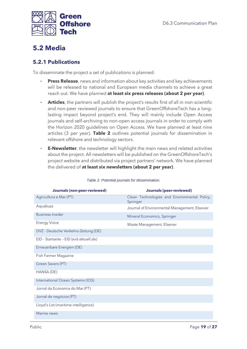

## <span id="page-18-0"></span>**5.2 Media**

### <span id="page-18-1"></span>**5.2.1 Publications**

To disseminate the project a set of publications is planned:

- **Press Release**, news and information about key activities and key achievements will be released to national and European media channels to achieve a great reach out. We have planned **at least six press releases (about 2 per year)**.
- Articles, the partners will publish the project's results first of all in non-scientific and non-peer reviewed journals to ensure that GreenOffshoreTech has a longlasting impact beyond project's end. They will mainly include Open Access journals and self-archiving to non-open access journals in order to comply with the Horizon 2020 guidelines on Open Access. We have planned at least nine articles (3 per year). **Table 2** outlines potential journals for dissemination in relevant offshore and technology sectors.
- **E-Newsletter**, the newsletter will highlight the main news and related activities about the project. All newsletters will be published on the GreenOffshoreTech's project website and distributed via project partners' network. We have planned the delivered of **at least six newsletters (about 2 per year)**.

<span id="page-18-2"></span>

| <b>Journals (non-peer-reviewed)</b>               | <b>Journals (peer-reviewed)</b>                          |  |  |  |
|---------------------------------------------------|----------------------------------------------------------|--|--|--|
| Agricultura e Mar (PT)                            | Clean Technologies and Environmental Policy,<br>Springer |  |  |  |
| Aquabuzz                                          | Journal of Environmental Management, Elsevier            |  |  |  |
| <b>Business Insider</b>                           | Mineral Economics, Springer                              |  |  |  |
| <b>Energy Voice</b><br>Waste Management, Elsevier |                                                          |  |  |  |
| DVZ - Deutsche Verkehrs-Zeitung (DE)              |                                                          |  |  |  |
| EID - Startseite - EID (eid-aktuell.de)           |                                                          |  |  |  |
| Erneuerbare Energien (DE)                         |                                                          |  |  |  |
| <b>Fish Farmer Magazine</b>                       |                                                          |  |  |  |
| Green Savers (PT)                                 |                                                          |  |  |  |
| HANSA (DE)                                        |                                                          |  |  |  |
| International Ocean Systems (IOS)                 |                                                          |  |  |  |
| Jornal da Economia do Mar (PT)                    |                                                          |  |  |  |
| Jornal de negócios (PT)                           |                                                          |  |  |  |
| Lloyd's List (maritime intelligence)              |                                                          |  |  |  |
| Marine news                                       |                                                          |  |  |  |

#### *Table 2. Potential journals for dissemination.*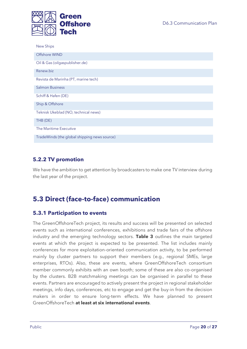

| <b>New Ships</b>                             |
|----------------------------------------------|
| Offshore WIND                                |
| Oil & Gas (oilgaspublisher.de)               |
| Renew.biz                                    |
| Revista de Marinha (PT, marine tech)         |
| <b>Salmon Business</b>                       |
| Schiff & Hafen (DE)                          |
| Ship & Offshore                              |
| Teknisk Ukeblad (NO, technical news)         |
| THB (DE)                                     |
| The Maritime Executive                       |
| TradeWinds (the global shipping news source) |

### <span id="page-19-0"></span>**5.2.2 TV promotion**

We have the ambition to get attention by broadcasters to make one TV interview during the last year of the project.

## <span id="page-19-1"></span>**5.3 Direct (face-to-face) communication**

### <span id="page-19-2"></span>**5.3.1 Participation to events**

The GreenOffshoreTech project, its results and success will be presented on selected events such as international conferences, exhibitions and trade fairs of the offshore industry and the emerging technology sectors. **Table 3** outlines the main targeted events at which the project is expected to be presented. The list includes mainly conferences for more exploitation-oriented communication activity, to be performed mainly by cluster partners to support their members (e.g., regional SMEs, large enterprises, RTOs). Also, these are events, where GreenOffshoreTech consortium member commonly exhibits with an own booth; some of these are also co-organised by the clusters. B2B matchmaking meetings can be organised in parallel to these events. Partners are encouraged to actively present the project in regional stakeholder meetings, info days, conferences, etc to engage and get the buy-in from the decision makers in order to ensure long-term effects. We have planned to present GreenOffshoreTech **at least at six international events**.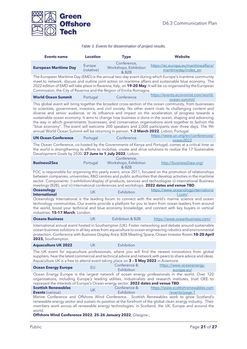

#### *Table 3. Events for dissemination of project results.*

<span id="page-20-0"></span>

| <b>Events name</b>                                                                       | <b>Location</b>      | <b>Type</b>                                                | <b>Website</b>                                                                                                                                                                                                                                                                                                                                                                                                                                                                                                                                                                                                                                        |
|------------------------------------------------------------------------------------------|----------------------|------------------------------------------------------------|-------------------------------------------------------------------------------------------------------------------------------------------------------------------------------------------------------------------------------------------------------------------------------------------------------------------------------------------------------------------------------------------------------------------------------------------------------------------------------------------------------------------------------------------------------------------------------------------------------------------------------------------------------|
| <b>European Maritime Day</b>                                                             | Europe<br>(rotative) | Conference,<br>Workshops, Exhibition<br>& B <sub>2</sub> B | https://ec.europa.eu/maritimeaffairs/<br>maritimeday/index en                                                                                                                                                                                                                                                                                                                                                                                                                                                                                                                                                                                         |
| Commission, the City of Ravenna and the Region of Emilia-Romagna.                        |                      |                                                            | The European Maritime Day (EMD) is the annual two-day event during which Europe's maritime community<br>meet to network, discuss and outline joint action on maritime affairs and sustainable blue economy. The<br>2022 edition of EMD will take place in Ravenna, Italy, on 19-20 May. It will be co-organised by the European                                                                                                                                                                                                                                                                                                                       |
| <b>World Ocean Summit</b>                                                                | Portugal             | Conference                                                 | https://events.economist.com/world-<br>ocean-summit/                                                                                                                                                                                                                                                                                                                                                                                                                                                                                                                                                                                                  |
| annual World Ocean Summit will be returning in-person. 1-3 March 2022, Lisbon, Portugal. |                      |                                                            | This global event will bring together the broadest cross-section of the ocean community, from businesses<br>to scientists, government, investors, and civil society. No other event rivals its challenging content and<br>diverse and senior audience, or its influence and impact on the acceleration of progress towards a<br>sustainable ocean economy. It aims to change how business is done in the ocean, shaping and advancing<br>the way in which governments, businesses, and conservation organisations work together to fashion the<br>"blue economy". The event will welcome 200 speakers and 2,000 participants over three days. The 9th |
| <b>UN Ocean Conference</b>                                                               | Portugal             | Conference                                                 | https://www.un.org/en/conferences/<br>ocean2022                                                                                                                                                                                                                                                                                                                                                                                                                                                                                                                                                                                                       |
| Development Goals by 2030. 27 June to 1 July 2022, Lisbon.                               |                      |                                                            | The Ocean Conference, co-hosted by the Governments of Kenya and Portugal, comes at a critical time as<br>the world is strengthening its efforts to mobilize, create and drive solutions to realize the 17 Sustainable                                                                                                                                                                                                                                                                                                                                                                                                                                 |
| <b>Business2Sea</b>                                                                      | Portugal             | Conference,<br>Workshops, Exhibition<br>& B2B              | http://business2sea.org/                                                                                                                                                                                                                                                                                                                                                                                                                                                                                                                                                                                                                              |
|                                                                                          |                      |                                                            | FOC is responsible for organising this yearly event, since 2011, focused on the promotion of relationships<br>between companies, universities, R&D centres and public authorities that develop activities in the maritime<br>sector. Components: i) exhibition/display of products, services and technologies ii) international Business<br>meetings (B2B), and iii) International conferences and workshops. 2022 dates and venue TBD.                                                                                                                                                                                                               |
| <b>Oceanology</b><br><b>International</b>                                                | <b>UK</b>            | Exhibition                                                 | https://www.oceanologyinternationa<br>l.com/                                                                                                                                                                                                                                                                                                                                                                                                                                                                                                                                                                                                          |
| industries. 15-17 March, London.                                                         |                      |                                                            | Oceanology International is the leading forum to connect with the world's marine science and ocean<br>technology communities. Our events provide a platform for you to learn from ocean leaders from around<br>the world, boost your technical and blue economy knowledge, and connect with key buyers in vertical                                                                                                                                                                                                                                                                                                                                    |
| <b>Oceans Business</b>                                                                   | <b>UK</b>            | Exhibition & B2B                                           | https://www.oceanbusiness.com/                                                                                                                                                                                                                                                                                                                                                                                                                                                                                                                                                                                                                        |
| 2023, Southampton.                                                                       |                      |                                                            | International annual event hosted in Southampton (UK). Foster networking and debate around sustainable<br>ocean business solutions in all key areas from aquaculture to ocean engineering robotics and environmental<br>protection. Conference with Business Display Area, B2B Meeting Space, Ocean Investor Room.18-20 April                                                                                                                                                                                                                                                                                                                         |
| <b>Aquaculture UK 2022</b>                                                               | <b>UK</b>            | Exhibition                                                 |                                                                                                                                                                                                                                                                                                                                                                                                                                                                                                                                                                                                                                                       |
| Aquaculture UK is a free to attend event taking place on 3 - 5 May 2022 in Aviemore.     |                      |                                                            | The UK event for aquaculture professionals, where you will find the newest innovations from global<br>suppliers, hear the latest commercial and technical advice and network with peers to share advice and ideas.                                                                                                                                                                                                                                                                                                                                                                                                                                    |
| <b>Ocean Energy Europe</b>                                                               | EU                   | Conference &<br>Exhibition                                 | https://www.oceanenergy-<br>europe.eu/                                                                                                                                                                                                                                                                                                                                                                                                                                                                                                                                                                                                                |
| represent the interests of Europe's Ocean energy sector. 2022 dates and venue TBD.       |                      |                                                            | Ocean Energy Europe is the largest network of ocean energy professionals in the world. Over 120<br>organisations, including Europe's leading utilities, industrialists and research institutes, trust OEE to                                                                                                                                                                                                                                                                                                                                                                                                                                          |
| <b>Scottish Renewables</b><br><b>Events</b> (various)                                    | <b>UK</b>            | Conference &<br>Exhibition                                 | https://www.scottishrenewables.com<br>/events/page:1                                                                                                                                                                                                                                                                                                                                                                                                                                                                                                                                                                                                  |
| world.                                                                                   |                      |                                                            | Marine Conference and Offshore Wind Conference. Scottish Renewables work to grow Scotland's<br>renewable energy sector and sustain its position at the forefront of the global clean energy industry. Their<br>members work across all renewable energy technologies, in Scotland, the UK, Europe and around the                                                                                                                                                                                                                                                                                                                                      |

**Offshore Wind Conference 2022**, **25-26 January 2022**, Glasgow.;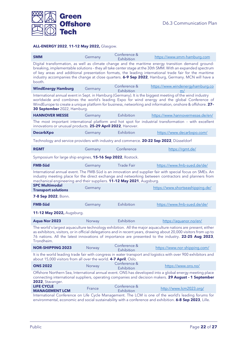

#### **ALL-ENERGY 2022**, **11-12 May 2022,** Glasgow.

| <b>SMM</b>                                                                                                                                                                                                                                                                                                                                                                                                                                                | Germany | Conference &               | https://www.smm-hamburg.com                                                                                                                                                                                                                                                                                          |  |
|-----------------------------------------------------------------------------------------------------------------------------------------------------------------------------------------------------------------------------------------------------------------------------------------------------------------------------------------------------------------------------------------------------------------------------------------------------------|---------|----------------------------|----------------------------------------------------------------------------------------------------------------------------------------------------------------------------------------------------------------------------------------------------------------------------------------------------------------------|--|
| Exhibition<br>Digital transformation, as well as climate change and the maritime energy transition demand ground-<br>breaking, implementable solutions - they all take center stage at the 30th SMM. With an expanded spectrum<br>of key areas and additional presentation formats, the leading international trade fair for the maritime<br>industry accompanies the change at close quarters. 6-9 Sep 2022, Hamburg, Germany. MCN will have a<br>booth. |         |                            |                                                                                                                                                                                                                                                                                                                      |  |
| <b>WindEnergy Hamburg</b>                                                                                                                                                                                                                                                                                                                                                                                                                                 | Germany | Conference &<br>Exhibition | https://www.windenergyhamburg.co<br>m/                                                                                                                                                                                                                                                                               |  |
| 30 September 2022, Hamburg.                                                                                                                                                                                                                                                                                                                                                                                                                               |         |                            | International annual event in Sept. in Hamburg (Germany). It is the biggest meeting of the wind industry<br>worldwide and combines the world's leading Expo for wind energy and the global Conference of<br>WindEurope to create a unique platform for business, networking and information, onshore & offshore. 27- |  |
| <b>HANNOVER MESSE</b>                                                                                                                                                                                                                                                                                                                                                                                                                                     | Germany | Exhibition                 | https://www.hannovermesse.de/en/                                                                                                                                                                                                                                                                                     |  |
| innovations or unusual products. 25-29 April 2022, Hanover.                                                                                                                                                                                                                                                                                                                                                                                               |         |                            | The most important international platform and hot spot for industrial transformation - with excellent                                                                                                                                                                                                                |  |
| <b>DecarbXpo</b>                                                                                                                                                                                                                                                                                                                                                                                                                                          | Germany | Exhibition                 | https://www.decarbxpo.com/                                                                                                                                                                                                                                                                                           |  |
| Technology and service providers with industry and commerce. 20-22 Sep 2022, Düsseldorf                                                                                                                                                                                                                                                                                                                                                                   |         |                            |                                                                                                                                                                                                                                                                                                                      |  |
| <b>RGMT</b>                                                                                                                                                                                                                                                                                                                                                                                                                                               | Germany | Conference                 | https://rgmt.de/                                                                                                                                                                                                                                                                                                     |  |
| Symposium for large ship engines, 15-16 Sep 2022, Rostock.                                                                                                                                                                                                                                                                                                                                                                                                |         |                            |                                                                                                                                                                                                                                                                                                                      |  |
| <b>FMB-Süd</b>                                                                                                                                                                                                                                                                                                                                                                                                                                            | Germany | <b>Trade Fair</b>          | https://www.fmb-sued.de/de/                                                                                                                                                                                                                                                                                          |  |
| mechanical engineering and their suppliers. 11-12 May 2021, Augsburg.<br><b>SPC Multimodal</b><br><b>Transport solutions</b>                                                                                                                                                                                                                                                                                                                              | Germany |                            | International annual event. The FMB-Süd is an innovation and supplier fair with special focus on SMEs. An<br>industry meeting place for the direct exchange and networking between contractors and planners from<br>https://www.shortseashipping.de/                                                                 |  |
| 7-8 Sep 2022, Bonn.                                                                                                                                                                                                                                                                                                                                                                                                                                       |         |                            |                                                                                                                                                                                                                                                                                                                      |  |
| <b>FMB-Süd</b>                                                                                                                                                                                                                                                                                                                                                                                                                                            | Germany | Exhibition                 | https://www.fmb-sued.de/de/                                                                                                                                                                                                                                                                                          |  |
| 11-12 May 2022, Augsburg.                                                                                                                                                                                                                                                                                                                                                                                                                                 |         |                            |                                                                                                                                                                                                                                                                                                                      |  |
| <b>Aqua Nor 2023</b>                                                                                                                                                                                                                                                                                                                                                                                                                                      | Norway  | Exhibition                 | https://aquanor.no/en/                                                                                                                                                                                                                                                                                               |  |
| The world's largest aquaculture technology exhibition. All the major aquaculture nations are present, either<br>as exhibitors, visitors, or in official delegations and in recent years, drawing about 20,000 visitors from up to<br>76 nations. All the latest innovations of importance are presented to the industry. 22-25 Aug 2023,<br>Trondheim.                                                                                                    |         |                            |                                                                                                                                                                                                                                                                                                                      |  |
| <b>NOR-SHIPPING 2023</b>                                                                                                                                                                                                                                                                                                                                                                                                                                  | Norway  | Conference &<br>Exhibition | https://www.nor-shipping.com/                                                                                                                                                                                                                                                                                        |  |
| about 15,000 visitors from all over the world. 4-7 April, Oslo.                                                                                                                                                                                                                                                                                                                                                                                           |         |                            | It is the world leading trade fair with congress in water transport and logistics with over 900 exhibitors and                                                                                                                                                                                                       |  |
| <b>ONS 2022</b>                                                                                                                                                                                                                                                                                                                                                                                                                                           | Norway  | Conference &<br>Exhibition | https://www.ons.no/                                                                                                                                                                                                                                                                                                  |  |
| 2022, Stavanger.                                                                                                                                                                                                                                                                                                                                                                                                                                          |         |                            | Offshore Northern Sea, International annual event. ONS has developed into a global energy meeting place<br>connecting international suppliers, operating companies and decision makers. 29 August - 1 September                                                                                                      |  |
| <b>LIFE CYCLE</b><br><b>MANAGEMENT LCM</b>                                                                                                                                                                                                                                                                                                                                                                                                                | France  | Conference &<br>Exhibition | http://www.lcm2023.org/                                                                                                                                                                                                                                                                                              |  |
| International Conference on Life Cycle Management. The LCM is one of the world's leading forums for<br>environmental, economic and social sustainability with a conference and exhibition. 6-8 Sep 2023, Lille.                                                                                                                                                                                                                                           |         |                            |                                                                                                                                                                                                                                                                                                                      |  |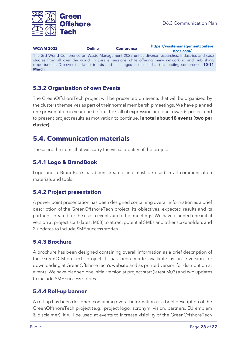

**WCWM 2022 Online Conference [https://wastemanagementconfere](https://wastemanagementconferences.com/) [nces.com/](https://wastemanagementconferences.com/)** The 3rd World Conference on Waste Management 2022 unites diverse researches, Industries and case studies from all over the world, in parallel sessions while offering many networking and publishing opportunities. Discover the latest trends and challenges in the field at this leading conference. **10-11 March**.

### <span id="page-22-0"></span>**5.3.2 Organisation of own Events**

The GreenOffshoreTech project will be presented on events that will be organized by the clusters themselves as part of their normal membership meetings. We have planned one presentation in year one before the Call of expression and one towards project end to present project results as motivation to continue, **in total about 18 events (two per cluster)**.

### <span id="page-22-1"></span>**5.4. Communication materials**

These are the items that will carry the visual identity of the project:

#### <span id="page-22-2"></span>**5.4.1 Logo & BrandBook**

Logo and a BrandBook has been created and must be used in all communication materials and tools.

### <span id="page-22-3"></span>**5.4.2 Project presentation**

A power point presentation has been designed containing overall information as a brief description of the GreenOffshoreTech project, its objectives, expected results and its partners. created for the use in events and other meetings. We have planned one initial version at project start (latest M03) to attract potential SMEs and other stakeholders and 2 updates to include SME success stories.

#### <span id="page-22-4"></span>**5.4.3 Brochure**

A brochure has been designed containing overall information as a brief description of the GreenOffshoreTech project. It has been made available as an e-version for downloading at GreenOffshoreTech's website and as printed version for distribution at events. We have planned one initial version at project start (latest M03) and two updates to include SME success stories.

#### <span id="page-22-5"></span>**5.4.4 Roll-up banner**

A roll-up has been designed containing overall information as a brief description of the GreenOffshoreTech project (e.g., project logo, acronym, vision, partners, EU emblem & disclaimer). It will be used at events to increase visibility of the GreenOffshoreTech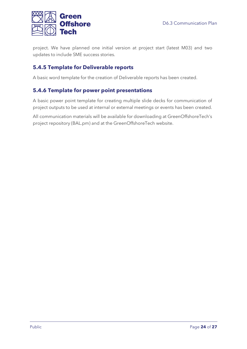

project. We have planned one initial version at project start (latest M03) and two updates to include SME success stories.

### <span id="page-23-0"></span>**5.4.5 Template for Deliverable reports**

A basic word template for the creation of Deliverable reports has been created.

### **5.4.6 Template for power point presentations**

A basic power point template for creating multiple slide decks for communication of project outputs to be used at internal or external meetings or events has been created.

All communication materials will be available for downloading at GreenOffshoreTech's project repository (BAL.pm) and at the GreenOffshoreTech website.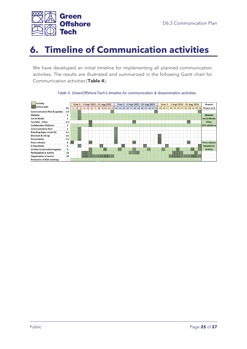

# <span id="page-24-0"></span>**6. Timeline of Communication activities**

We have developed an initial timeline for implementing all planned communication activities. The results are illustrated and summarized in the following Gantt chart for Communication activities (**Table 4**).



#### *Table 4. GreenOffshoreTech's timeline for communication & dissemination activities.*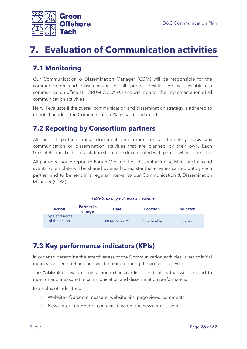

# <span id="page-25-0"></span>**7. Evaluation of Communication activities**

## <span id="page-25-1"></span>**7.1 Monitoring**

Our Communication & Dissemination Manager (CDM) will be responsible for the communication and dissemination of all project results. He will establish a communication office at FÓRUM OCEANO and will monitor the implementation of all communication activities.

He will evaluate if the overall communication and dissemination strategy is adhered to or not. If needed, the Communication Plan shall be adapted.

### <span id="page-25-2"></span>**7.2 Reporting by Consortium partners**

All project partners must document and report on a 3-monthly basis any communication or dissemination activities that are planned by their own. Each GreenOffshoreTech presentation should be documented with photos where possible.

All partners should report to Fórum Oceano their dissemination activities, actions and events. A template will be shared by email to register the activities carried out by each partner and to be sent in a regular interval to our Communication & Dissemination Manager (CDM).

#### *Table 5. Example of reporting scheme.*

<span id="page-25-4"></span>

| <b>Action</b>                  | <b>Partner in</b><br>charge | <b>Date</b> | <b>Location</b> | <b>Indicator</b> |  |
|--------------------------------|-----------------------------|-------------|-----------------|------------------|--|
| Type and name<br>of the action |                             | DD/MM/YYYY  | If applicable   | <b>Status</b>    |  |

## <span id="page-25-3"></span>**7.3 Key performance indicators (KPIs)**

In order to determine the effectiveness of the Communication activities, a set of initial metrics has been defined and will be refined during the project life cycle.

The **Table 6** below presents a non-exhaustive list of indicators that will be used to monitor and measure the communication and dissemination performance.

Examples of indicators:

- Website Outcome measure: website hits, page views, comments
- Newsletter number of contacts to whom the newsletter is sent